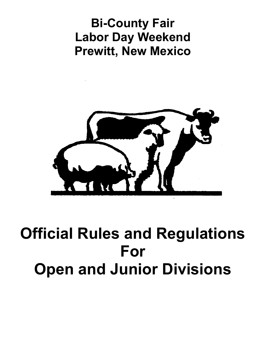# **Bi-County Fair Labor Day Weekend Prewitt, New Mexico**



# **Official Rules and Regulations For Open and Junior Divisions**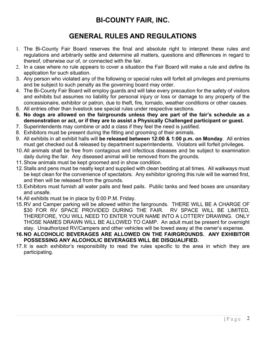# **BI-COUNTY FAIR, INC.**

# **GENERAL RULES AND REGULATIONS**

- 1. The Bi-County Fair Board reserves the final and absolute right to interpret these rules and regulations and arbitrarily settle and determine all matters, questions and differences in regard to thereof, otherwise our of, or connected with the fair.
- 2. In a case where no rule appears to cover a situation the Fair Board will make a rule and define its application for such situation.
- 3. Any person who violated any of the following or special rules will forfeit all privileges and premiums and be subject to such penalty as the governing board may order.
- 4. The Bi-County Fair Board will employ guards and will take every precaution for the safety of visitors and exhibits but assumes no liability for personal injury or loss or damage to any property of the concessionaire, exhibitor or patron, due to theft, fire, tornado, weather conditions or other causes.
- 5. All entries other than livestock see special rules under respective sections.
- **6. No dogs are allowed on the fairgrounds unless they are part of the fair's schedule as a demonstration or act, or if they are to assist a Physically Challenged participant or guest.**
- 7. Superintendents may combine or add a class if they feel the need is justified.
- 8. Exhibitors must be present during the fitting and grooming of their animals.
- 9. All exhibits in all exhibit halls will **be released between 12:00 & 1:00 p.m. on Monday**. All entries must get checked out & released by department superintendents. Violators will forfeit privileges.
- 10.All animals shall be free from contagious and infectious diseases and be subject to examination daily during the fair. Any diseased animal will be removed from the grounds.
- 11.Show animals must be kept groomed and in show condition.
- 12.Stalls and pens must be neatly kept and supplied with clean bedding at all times. All walkways must be kept clean for the convenience of spectators. Any exhibitor ignoring this rule will be warned first, and then will be released from the grounds.
- 13.Exhibitors must furnish all water pails and feed pails. Public tanks and feed boxes are unsanitary and unsafe.
- 14.All exhibits must be in place by 6:00 P.M. Friday.
- 15.RV and Camper parking will be allowed within the fairgrounds. THERE WILL BE A CHARGE OF \$30 FOR RV SPACE PROVIDED DURING THE FAIR. RV SPACE WILL BE LIMITED, THEREFORE, YOU WILL NEED TO ENTER YOUR NAME INTO A LOTTERY DRAWING. ONLY THOSE NAMES DRAWN WILL BE ALLOWED TO CAMP. An adult must be present for overnight stay. Unauthorized RV/Campers and other vehicles will be towed away at the owner's expense.
- **16.NO ALCOHOLIC BEVERAGES ARE ALLOWED ON THE FAIRGROUNDS. ANY EXHIBITOR POSSESSING ANY ALCOHOLIC BEVERAGES WILL BE DISQUALIFIED.**
- 17.It is each exhibitor's responsibility to read the rules specific to the area in which they are participating.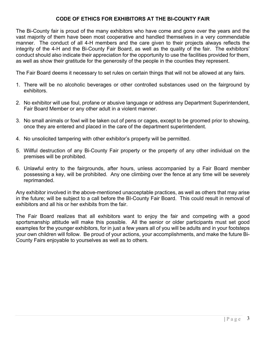# **CODE OF ETHICS FOR EXHIBITORS AT THE BI-COUNTY FAIR**

The Bi-County fair is proud of the many exhibitors who have come and gone over the years and the vast majority of them have been most cooperative and handled themselves in a very commendable manner. The conduct of all 4-H members and the care given to their projects always reflects the integrity of the 4-H and the Bi-County Fair Board, as well as the quality of the fair. The exhibitors' conduct should also indicate their appreciation for the opportunity to use the facilities provided for them, as well as show their gratitude for the generosity of the people in the counties they represent.

The Fair Board deems it necessary to set rules on certain things that will not be allowed at any fairs.

- 1. There will be no alcoholic beverages or other controlled substances used on the fairground by exhibitors.
- 2. No exhibitor will use foul, profane or abusive language or address any Department Superintendent, Fair Board Member or any other adult in a violent manner.
- 3. No small animals or fowl will be taken out of pens or cages, except to be groomed prior to showing, once they are entered and placed in the care of the department superintendent.
- 4. No unsolicited tampering with other exhibitor's property will be permitted.
- 5. Willful destruction of any Bi-County Fair property or the property of any other individual on the premises will be prohibited.
- 6. Unlawful entry to the fairgrounds, after hours, unless accompanied by a Fair Board member possessing a key, will be prohibited. Any one climbing over the fence at any time will be severely reprimanded.

Any exhibitor involved in the above-mentioned unacceptable practices, as well as others that may arise in the future; will be subject to a call before the BI-County Fair Board. This could result in removal of exhibitors and all his or her exhibits from the fair.

The Fair Board realizes that all exhibitors want to enjoy the fair and competing with a good sportsmanship attitude will make this possible. All the senior or older participants must set good examples for the younger exhibitors, for in just a few years all of you will be adults and in your footsteps your own children will follow. Be proud of your actions, your accomplishments, and make the future Bi-County Fairs enjoyable to yourselves as well as to others.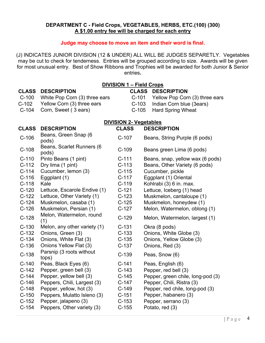# **DEPARTMENT C - Field Crops, VEGETABLES, HERBS, ETC.(100) (300) A \$1.00 entry fee will be charged for each entry**

# **Judge may choose to move an item and their word is final.**

(J) INDICATES JUNIOR DIVISION (12 & UNDER) ALL WILL BE JUDGES SEPARETLY. Vegetables may be cut to check for tenderness. Entries will be grouped according to size. Awards will be given for most unusual entry. Best of Show Ribbons and Trophies will be awarded for both Junior & Senior entries**.**

| <b>DIVISION 1 - Field Crops</b> |                                    |                               |                                           |  |
|---------------------------------|------------------------------------|-------------------------------|-------------------------------------------|--|
| <b>CLASS</b>                    | <b>DESCRIPTION</b>                 |                               | <b>CLASS</b><br><b>DESCRIPTION</b>        |  |
| $C-100$                         | White Pop Corn (3) three ears      |                               | $C-101$<br>Yellow Pop Corn (3) three ears |  |
| $C-102$                         | Yellow Corn (3) three ears         | $C-103$                       | Indian Corn blue (3ears)                  |  |
| $C-104$                         | Corn, Sweet (3 ears)               | $C-105$                       | <b>Hard Spring Wheat</b>                  |  |
|                                 |                                    | <b>DIVISION 2- Vegetables</b> |                                           |  |
| <b>CLASS</b>                    | <b>DESCRIPTION</b>                 | <b>CLASS</b>                  | <b>DESCRIPTION</b>                        |  |
| $C-106$                         | Beans, Green Snap (6<br>pods)      | $C-107$                       | Beans, String Purple (6 pods)             |  |
| $C-108$                         | Beans, Scarlet Runners (6<br>pods) | $C-109$                       | Beans green Lima (6 pods)                 |  |
| $C-110$                         | Pinto Beans (1 pint)               | $C-111$                       | Beans, snap, yellow wax (6 pods)          |  |
| $C-112$                         | Dry lima (1 pint)                  | $C-113$                       | Beans, Other Variety (6 pods)             |  |
| $C-114$                         | Cucumber, lemon (3)                | $C-115$                       | Cucumber, pickle                          |  |
| $C-116$                         | Eggplant (1)                       | $C-117$                       | Eggplant (1) Oriental                     |  |
| $C-118$                         | Kale                               | $C-119$                       | Kohlrabi (3) 6 in. max.                   |  |
| $C-120$                         | Lettuce, Escarole Endive (1)       | $C-121$                       | Lettuce, Iceberg (1) head                 |  |
| $C-122$                         | Lettuce, Other Variety (1)         | $C-123$                       | Muskmelon, cantaloupe (1)                 |  |
| $C-124$                         | Muskmelon, casaba (1)              | $C-125$                       | Muskmelon, honeydew (1)                   |  |
| $C-126$                         | Muskmelon, Persian (1)             | $C-127$                       | Melon, Watermelon, oblong (1)             |  |
| $C-128$                         | Melon, Watermelon, round<br>(1)    | $C-129$                       | Melon, Watermelon, largest (1)            |  |
| $C-130$                         | Melon, any other variety (1)       | $C-131$                       | Okra (8 pods)                             |  |
| $C-132$                         | Onions, Green (3)                  | $C-133$                       | Onions, White Globe (3)                   |  |
| $C-134$                         | Onions, White Flat (3)             | $C-135$                       | Onions, Yellow Globe (3)                  |  |
| $C-136$                         | Onions Yellow Flat (3)             | $C-137$                       | Onions, Red (3)                           |  |
| $C-138$                         | Parsnip (3 roots without<br>tops)  | $C-139$                       | Peas, Snow (6)                            |  |
| $C-140$                         | Peas, Black Eyes (6)               | $C-141$                       | Peas, English (6)                         |  |
| $C-142$                         | Pepper, green bell (3)             | $C-143$                       | Pepper, red bell (3)                      |  |
| $C-144$                         | Pepper, yellow bell (3)            | $C-145$                       | Pepper, green chile, long-pod (3)         |  |
| $C-146$                         | Peppers, Chili, Largest (3)        | $C-147$                       | Pepper, Chili, Ristra (3)                 |  |
| $C-148$                         | Pepper, yellow, hot (3)            | $C-149$                       | Pepper, red chile, long-pod (3)           |  |
| $C-150$                         | Peppers, Mulatto Isleno (3)        | $C-151$                       | Pepper, habanero (3)                      |  |
| $C-152$                         | Pepper, jalapeno (3)               | $C-153$                       | Pepper, serrano (3)                       |  |
| $C-154$                         | Peppers, Other variety (3)         | $C-155$                       | Potato, red (3)                           |  |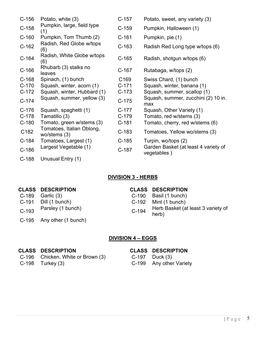| $C-156$ | Potato, white (3)                           | $C-157$          | Potato, sweet, any variety (3)                      |
|---------|---------------------------------------------|------------------|-----------------------------------------------------|
| $C-158$ | Pumpkin, large, field type<br>(1)           | $C-159$          | Pumpkin, Halloween (1)                              |
| $C-160$ | Pumpkin, Tom Thumb (2)                      | $C-161$          | Pumpkin, pie (1)                                    |
| $C-162$ | Radish, Red Globe w/tops<br>(6)             | $C-163$          | Radish Red Long type w/tops (6)                     |
| $C-164$ | Radish, White Globe w/tops<br>(6)           | $C-165$          | Radish, shotgun w/tops (6)                          |
| $C-166$ | Rhubarb (3) stalks no<br>leaves             | $C-167$          | Rutabaga, w/tops (2)                                |
| $C-168$ | Spinach, (1) bunch                          | C <sub>169</sub> | Swiss Chard, (1) bunch                              |
| $C-170$ | Squash, winter, acorn (1)                   | $C-171$          | Squash, winter, banana (1)                          |
| $C-172$ | Squash, winter, Hubbard (1)                 | $C-173$          | Squash, summer, scallop (1)                         |
| $C-174$ | Squash, summer, yellow (3)                  | $C-175$          | Squash, summer, zucchini (2) 10 in.<br>max          |
| $C-176$ | Squash, spaghetti (1)                       | $C-177$          | Squash, Other Variety (1)                           |
| $C-178$ | Tamatillo (3)                               | $C-179$          | Tomato, red w/stems (3)                             |
| $C-180$ | Tomato, green w/stems (3)                   | $C-181$          | Tomato, cherry, red w/stems (6)                     |
| C182    | Tomatoes, Italian Oblong,<br>wo/stems $(3)$ | $C-183$          | Tomatoes, Yellow wo/stems (3)                       |
| $C-184$ | Tomatoes, Largest (1)                       | $C-185$          | Turpin, wo/tops (2)                                 |
| $C-186$ | Largest Vegetable (1)                       | $C-187$          | Garden Basket (at least 4 variety of<br>vegetables) |
| $C-188$ | Unusual Entry (1)                           |                  |                                                     |

# **DIVISION 3 - HERBS**

# **CLASS DESCRIPTION**<br>
C-189 Garlic (3) C-190 Basil (1 bunch) C-190 Basil (1 bunch) C-191 Dill (1 bunch)<br>
C-192 Mint (1 bunch)<br>
C-192 Herb Basket (a C-193 Parsley (1 bunch) C-194 Herb Basket (at least 3 variety of herb) C-195 Any other (1 bunch)

# **DIVISION 4 – EGGS**

# **CLASS DESCRIPTION CLASS DESCRIPTION**

- 
- C-198 Turkey (3) C-199

C-196 Chicken, White or Brown (3) C-197 Duck (3)<br>C-198 Turkey (3) C-199 Any other Variety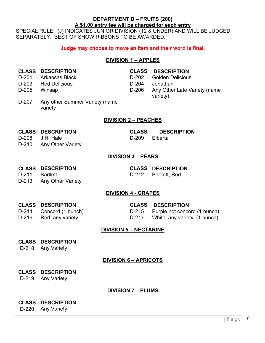# **DEPARTMENT D – FRUITS (200) A \$1.00 entry fee will be charged for each entry**

SPECIAL RULE: (J) INDICATES JUNIOR DIVISION (12 & UNDER) AND WILL BE JUDGED SEPARATELY. BEST OF SHOW RIBBONS TO BE AWARDED.

# **Judge may choose to move an item and their word is final.**

# **DIVISION 1 – APPLES**

- 
- 
- 

# **CLASS DESCRIPTION CLASS DESCRIPTION**

- D-201 Arkansas Black D-202 Golden Delicious
- D-203 Red Delicious D-204 Jonathan
- D-205 Winsap D-206 Any Other Late Variety (name variety)
- D-207 Any other Summer Variety (name variety

# **DIVISION 2 – PEACHES**

# **CLASS DESCRIPTION CLASS DESCRIPTION**

- D-208 J.H. Hale D-209 Elberta
- D-210 Any Other Variety

# **DIVISION 3 – PEARS**

# **CLASS DESCRIPTION CLASS DESCRIPTION**

- D-211 Bartlett D-212 Bartlett, Red
- D-213 Any Other Variety

# **DIVISION 4 - GRAPES**

# **CLASS DESCRIPTION CLASS DESCRIPTION**

D-214 Concord (1 bunch) D-215 Purple not concord (1 bunch)

D-216 Red, any variety D-217 White, any variety, (1 bunch)

# **DIVISION 5 – NECTARINE**

# **CLASS DESCRIPTION**

D-218 Any Variety

# **DIVISION 6 – APRICOTS**

- **CLASS DESCRIPTION**
- D-219 Any Variety

# **DIVISION 7 – PLUMS**

# **CLASS DESCRIPTION**

D-220 Any Variety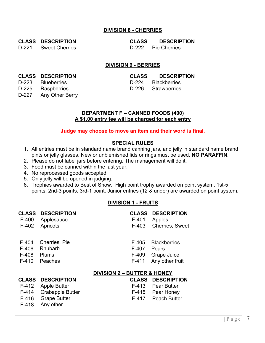# **DIVISION 8 - CHERRIES**

D-221 Sweet Cherries D-222 Pie Cherries

**CLASS DESCRIPTION CLASS DESCRIPTION**

# **DIVISION 9 - BERRIES**

# **CLASS DESCRIPTION CLASS DESCRIPTION**

- D-223 Blueberries D-224 Blackberries
- D-227 Any Other Berry

F-418 Any other

# D-225 Raspberries D-226 Strawberries

### **DEPARTMENT F – CANNED FOODS (400) A \$1.00 entry fee will be charged for each entry**

# **Judge may choose to move an item and their word is final.**

# **SPECIAL RULES**

- 1. All entries must be in standard name brand canning jars, and jelly in standard name brand pints or jelly glasses. New or unblemished lids or rings must be used. **NO PARAFFIN**.
- 2. Please do not label jars before entering. The management will do it.
- 3. Food must be canned within the last year.
- 4. No reprocessed goods accepted.
- 5. Only jelly will be opened in judging.
- 6. Trophies awarded to Best of Show. High point trophy awarded on point system. 1st-5 points, 2nd-3 points, 3rd-1 point. Junior entries (12 & under) are awarded on point system.

# **DIVISION 1 - FRUITS**

| <b>CLASS</b> | <b>DESCRIPTION</b>      | <b>CLASS</b>                           | <b>DESCRIPTION</b>  |
|--------------|-------------------------|----------------------------------------|---------------------|
| $F-400$      | Applesauce              | $F-401$                                | Apples              |
| $F-402$      | Apricots                | F-403                                  | Cherries, Sweet     |
| $F-404$      | Cherries, Pie           | F-405                                  | <b>Blackberries</b> |
| F-406        | Rhubarb                 | F-407                                  | Pears               |
| $F-408$      | <b>Plums</b>            | F-409                                  | Grape Juice         |
| $F-410$      | Peaches                 | $F-411$                                | Any other fruit     |
|              |                         | <b>DIVISION 2 - BUTTER &amp; HONEY</b> |                     |
| <b>CLASS</b> | <b>DESCRIPTION</b>      | <b>CLASS</b>                           | <b>DESCRIPTION</b>  |
| $F-412$      | <b>Apple Butter</b>     | $F-413$                                | <b>Pear Butter</b>  |
| F-414        | <b>Crabapple Butter</b> | $F-415$                                | Pear Honey          |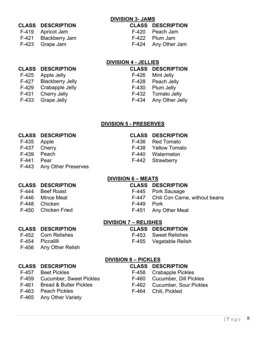# **DIVISION 3- JAMS**

# **CLASS DESCRIPTION CLASS DESCRIPTION**

| F-419 | Apricot Jam           |
|-------|-----------------------|
| F-421 | <b>Blackberry Jam</b> |

- F-420 Peach Jam
- F-422 Plum Jam
- F-423 Grape Jam F-424 Any Other Jam

# **DIVISION 4 - JELLIES**

# **CLASS DESCRIPTION CLASS DESCRIPTION**

- F-427 Blackberry Jelly F-428 Peach Jelly F-429 Crabapple Jelly F-430 Plum Jelly
- 
- 

- F-425 Apple Jelly F-426 Mint Jelly
	-
	-
- F-431 Cherry Jelly **F-432** Tomato Jelly
- F-433 Grape Jelly F-434 Any Other Jelly

# **DIVISION 5 - PRESERVES**

# **CLASS DESCRIPTION CLASS DESCRIPTION**

- F-435 Apple F-436 Red Tomato
- F-437 Cherry F-438 Yellow Tomato
- F-439 Peach F-440 Watermelon
- F-441 Pear F-442 Strawberry
- F-443 Any Other Preserves

# **DIVISION 6 – MEATS**

# **CLASS DESCRIPTION CLASS DESCRIPTION**

- Beef Roast **F-445** Pork Sausage
- F-446 Mince Meat F-447 Chili Con Carne, without beans
- F-448 Chicken F-449 Pork
- F-450 Chicken Fried F-451 Any Other Meat

# **DIVISION 7 – RELISHES**

- **CLASS DESCRIPTION CLASS DESCRIPTION**
- F-452 Corn Relishes F-453 Sweet Relishes
- F-454 Piccalilli F-455 Vegetable Relish
- 
- F-456 Any Other Relish

# **CLASS DESCRIPTION CLASS DESCRIPTION**

- 
- F-459 Cucumber, Sweet Pickles F-460 Cucumber, Dill Pickles
- 
- F-463 Peach Pickles F-464 Chili, Pickled
- F-465 Any Other Variety

**DIVISION 8 – PICKLES**

- F-457 Beet Pickles F-458 Crabapple Pickles
	-
- F-461 Bread & Butter Pickles F-462 Cucumber, Sour Pickles
	-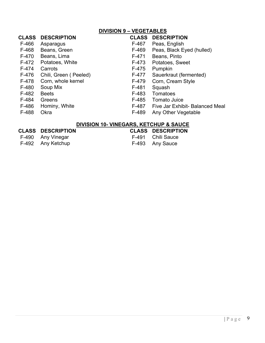|              | <b>DIVISION 9 - VEGETABLES</b> |                                        |                                 |
|--------------|--------------------------------|----------------------------------------|---------------------------------|
| CLASS        | <b>DESCRIPTION</b>             | <b>CLASS</b>                           | <b>DESCRIPTION</b>              |
| F-466        | Asparagus                      | F-467                                  | Peas, English                   |
| F-468        | Beans, Green                   | F-469                                  | Peas, Black Eyed (hulled)       |
| F-470        | Beans, Lima                    | F-471                                  | Beans, Pinto                    |
| F-472        | Potatoes, White                | F-473                                  | Potatoes, Sweet                 |
| F-474        | Carrots                        | F-475                                  | Pumpkin                         |
| F-476        | Chili, Green (Peeled)          | F-477                                  | Sauerkraut (fermented)          |
| F-478        | Corn, whole kernel             | F-479                                  | Corn, Cream Style               |
| F-480        | Soup Mix                       | F-481                                  | Squash                          |
| F-482        | <b>Beets</b>                   | F-483                                  | Tomatoes                        |
| F-484        | Greens                         | F-485                                  | Tomato Juice                    |
| F-486        | Hominy, White                  | F-487                                  | Five Jar Exhibit- Balanced Meal |
| F-488        | <b>Okra</b>                    | F-489                                  | Any Other Vegetable             |
|              |                                | DIVISION 10- VINEGARS, KETCHUP & SAUCE |                                 |
| <b>CLASS</b> | <b>DESCRIPTION</b>             | <b>CLASS</b>                           | <b>DESCRIPTION</b>              |
|              |                                |                                        |                                 |

- F-490 Any Vinegar **F-491** Chili Sauce
- F-492 Any Ketchup **F-493** Any Sauce
- -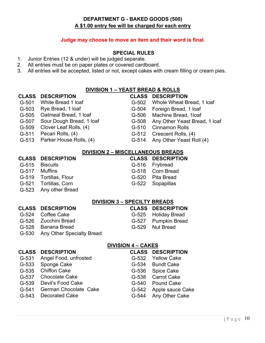# **DEPARTMENT G - BAKED GOODS (500) A \$1.00 entry fee will be charged for each entry**

# **Judge may choose to move an item and their word is final.**

### **SPECIAL RULES**

- 1. Junior Entries (12 & under) will be judged separate.
- 2. All entries must be on paper plates or covered cardboard.
- 3. All entries will be accepted, listed or not, except cakes with cream filling or cream pies.

### **DIVISION 1 – YEAST BREAD & ROLLS**

| <b>CLASS</b> | <b>DESCRIPTION</b>        | <b>CLASS</b>                        | <b>DESCRIPTION</b>                       |
|--------------|---------------------------|-------------------------------------|------------------------------------------|
| G-501        | White Bread 1 loaf        | $G-502$                             | Whole Wheat Bread, 1 loaf                |
| G-503        | Rye Bread, 1 loaf         | G-504                               | Foreign Bread, 1 loaf                    |
| $G-505$      | Oatmeal Bread, 1 loaf     | G-506                               | Machine Bread, 1loaf                     |
| G-507        | Sour Dough Bread, 1 loaf  | $G-508$                             | Any Other Yeast Bread, 1 loaf            |
| $G-509$      | Clover Leaf Rolls, (4)    | $G-510$                             | <b>Cinnamon Rolls</b>                    |
| $G-511$      | Pecan Rolls, (4)          | $G-512$                             | Crescent Rolls, (4)                      |
| $G-513$      | Parker House Rolls, (4)   | $G-514$                             | Any Other Yeast Roll (4)                 |
|              |                           |                                     | <b>DIVISION 2 - MISCELLANEOUS BREADS</b> |
| <b>CLASS</b> | <b>DESCRIPTION</b>        | <b>CLASS</b>                        | <b>DESCRIPTION</b>                       |
| $G-515$      | <b>Biscuits</b>           | G-516                               | Frybread                                 |
| G-517        | <b>Muffins</b>            | G-518                               | <b>Corn Bread</b>                        |
| $G-519$      | Tortillas, Flour          | G-520                               | <b>Pita Bread</b>                        |
| $G-521$      | Tortillas, Corn           | $G-522$                             | Sopapillas                               |
| $G-523$      | Any other Bread           |                                     |                                          |
|              |                           | <b>DIVISION 3 - SPECILTY BREADS</b> |                                          |
| <b>CLASS</b> | <b>DESCRIPTION</b>        | <b>CLASS</b>                        | <b>DESCRIPTION</b>                       |
| G-524        | <b>Coffee Cake</b>        | G-525                               | <b>Holiday Bread</b>                     |
| G-526        | Zucchini Bread            | G-527                               | <b>Pumpkin Bread</b>                     |
| $G-528$      | <b>Banana Bread</b>       | $G-529$                             | <b>Nut Bread</b>                         |
| $G-530$      | Any Other Specialty Bread |                                     |                                          |
|              |                           | <b>DIVISION 4 - CAKES</b>           |                                          |
| <b>CLASS</b> | <b>DESCRIPTION</b>        | <b>CLASS</b>                        | <b>DESCRIPTION</b>                       |
| G-531        | Angel Food, unfrosted     | G-532                               | <b>Yellow Cake</b>                       |
| G-533        | Sponge Cake               | G-534                               | <b>Bundt Cake</b>                        |
| $G-535$      | <b>Chiffon Cake</b>       | G-536                               | Spice Cake                               |
| G-537        | <b>Chocolate Cake</b>     | G-538                               | <b>Carrot Cake</b>                       |
| G-539        | Devil's Food Cake         | G-540                               | <b>Pound Cake</b>                        |
| $G-541$      | German Chocolate Cake     | $G-542$                             | Apple sauce Cake                         |

G-543 Decorated Cake G-544 Any Other Cake

| Page 10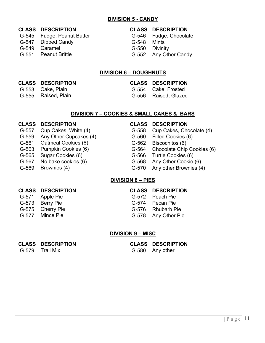# **DIVISION 5 - CANDY**

| <b>CLASS DESCRIPTION</b>   |                | <b>CLASS DESCRIPTION</b> |
|----------------------------|----------------|--------------------------|
| G-545 Fudge, Peanut Butter |                | G-546 Fudge, Chocolate   |
| G-547 Dipped Candy         | G-548 Mints    |                          |
| G-549 Caramel              | G-550 Divinity |                          |
| G-551 Peanut Brittle       |                | G-552 Any Other Candy    |
|                            |                |                          |

# **DIVISION 6 – DOUGHNUTS**

# **CLASS DESCRIPTION CLASS DESCRIPTION**

- G-553 Cake, Plain G-554 Cake, Frosted
- G-555 Raised, Plain G-556 Raised, Glazed

# **DIVISION 7 – COOKIES & SMALL CAKES & BARS**

# **CLASS DESCRIPTION CLASS DESCRIPTION**

- 
- G-559 Any Other Cupcakes (4) G-560 Filled Cookies (6)
- G-561 Oatmeal Cookies (6) G-562 Biscochitos (6)
- 
- G-565 Sugar Cookies (6) G-566 Turtle Cookies (6)
- 
- 

- G-557 Cup Cakes, White (4) G-558 Cup Cakes, Chocolate (4)
	-
	-
- G-563 Pumpkin Cookies (6) G-564 Chocolate Chip Cookies (6)
	-
- G-567 No bake cookies (6) G-568 Any Other Cookie (6)
- G-569 Brownies (4) G-570 Any other Brownies (4)

# **DIVISION 8 – PIES**

# **CLASS DESCRIPTION CLASS DESCRIPTION**

- 
- 
- 

- G-571 Apple Pie G-572 Peach Pie
- G-573 Berry Pie G-574 Pecan Pie
- G-575 Cherry Pie G-576 Rhubarb Pie
- G-577 Mince Pie G-578 Any Other Pie

# **DIVISION 9 – MISC**

G-579 Trail Mix G-580 Any other

# **CLASS DESCRIPTION CLASS DESCRIPTION**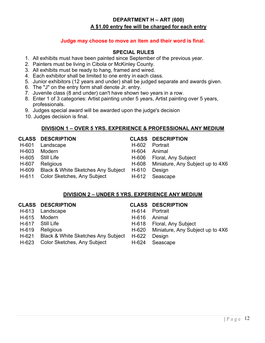# **DEPARTMENT H – ART (600) A \$1.00 entry fee will be charged for each entry**

# **Judge may choose to move an item and their word is final.**

### **SPECIAL RULES**

- 1. All exhibits must have been painted since September of the previous year.
- 2. Painters must be living in Cibola or McKinley County.
- 3. All exhibits must be ready to hang, framed and wired.
- 4. Each exhibitor shall be limited to one entry in each class.
- 5. Junior exhibitors (12 years and under) shall be judged separate and awards given.
- 6. The "J" on the entry form shall denote Jr. entry.
- 7. Juvenile class (8 and under) can't have shown two years in a row.
- 8. Enter 1 of 3 categories: Artist painting under 5 years, Artist painting over 5 years, professionals.
- 9. Judges special award will be awarded upon the judge's decision
- 10. Judges decision is final.

# **DIVISION 1 – OVER 5 YRS. EXPERIENCE & PROFESSIONAL ANY MEDIUM**

# **CLASS DESCRIPTION CLASS DESCRIPTION**

- 
- H-601 Landscape H-602 Portrait H-603 Modern H-604 Animal H-605 Still Life H-606 Floral, Any Subject
- 
- H-609 Black & White Sketches Any Subject H-610 Design
- 

- 
- 
- 
- H-607 Religious H-608 Miniature, Any Subject up to 4X6
	-
- H-611 Color Sketches, Any Subject H-612 Seascape

# **DIVISION 2 – UNDER 5 YRS. EXPERIENCE ANY MEDIUM**

| <b>CLASS DESCRIPTION</b>                 |       | <b>CLASS DESCRIPTION</b>               |
|------------------------------------------|-------|----------------------------------------|
| H-613 Landscape                          | H-614 | Portrait                               |
| H-615 Modern                             |       | H-616 Animal                           |
| H-617 Still Life                         |       | H-618 Floral, Any Subject              |
| H-619 Religious                          |       | H-620 Miniature, Any Subject up to 4X6 |
| H-621 Black & White Sketches Any Subject | H-622 | Design                                 |
| H-623 Color Sketches, Any Subject        | H-624 | Seascape                               |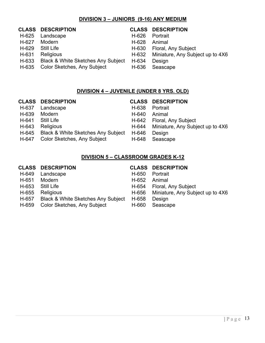# **DIVISION 3 – JUNIORS (9-16) ANY MEDIUM**

|        |                                                                                                             | <b>CLASS DESCRIPTION</b>                 |
|--------|-------------------------------------------------------------------------------------------------------------|------------------------------------------|
|        | H-626                                                                                                       | Portrait                                 |
| Modern | H-628                                                                                                       | Animal                                   |
|        |                                                                                                             | H-630 Floral, Any Subject                |
|        |                                                                                                             | H-632 Miniature, Any Subject up to 4X6   |
|        | H-634                                                                                                       | Design                                   |
|        | H-636                                                                                                       | Seascape                                 |
|        | <b>CLASS DESCRIPTION</b><br>H-625 Landscape<br>Still Life<br>Religious<br>H-635 Color Sketches, Any Subject | H-633 Black & White Sketches Any Subject |

# **DIVISION 4 – JUVENILE (UNDER 8 YRS. OLD)**

|       | <b>CLASS DESCRIPTION</b>                 |       | <b>CLASS DESCRIPTION</b>               |
|-------|------------------------------------------|-------|----------------------------------------|
| H-637 | Landscape                                | H-638 | Portrait                               |
| H-639 | Modern                                   | H-640 | Animal                                 |
| H-641 | <b>Still Life</b>                        |       | H-642 Floral, Any Subject              |
| H-643 | <b>Religious</b>                         |       | H-644 Miniature, Any Subject up to 4X6 |
|       | H-645 Black & White Sketches Any Subject | H-646 | Design                                 |
|       | H-647 Color Sketches, Any Subject        | H-648 | Seascape                               |

# **DIVISION 5 – CLASSROOM GRADES K-12**

|       | <b>CLASS DESCRIPTION</b>                      |       | <b>CLASS DESCRIPTION</b>               |
|-------|-----------------------------------------------|-------|----------------------------------------|
| H-649 | Landscape                                     | H-650 | Portrait                               |
| H-651 | Modern                                        | H-652 | Animal                                 |
| H-653 | <b>Still Life</b>                             |       | H-654 Floral, Any Subject              |
| H-655 | Religious                                     |       | H-656 Miniature, Any Subject up to 4X6 |
| H-657 | <b>Black &amp; White Sketches Any Subject</b> | H-658 | Design                                 |
| H-659 | Color Sketches, Any Subject                   | H-660 | Seascape                               |
|       |                                               |       |                                        |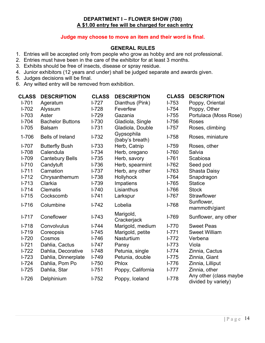# **DEPARTMENT I – FLOWER SHOW (700) A \$1.00 entry fee will be charged for each entry**

# **Judge may choose to move an item and their word is final.**

# **GENERAL RULES**

- 1. Entries will be accepted only from people who grow as hobby and are not professional.
- 2. Entries must have been in the care of the exhibitor for at least 3 months.
- 3. Exhibits should be free of insects, disease or spray residue.
- 4. Junior exhibitors (12 years and under) shall be judged separate and awards given.
- 5. Judges decisions will be final.
- 6. Any wilted entry will be removed from exhibition.

| <b>CLASS</b> | <b>DESCRIPTION</b>      | <b>CLASS</b> | <b>DESCRIPTION</b>            | <b>CLASS</b> | <b>DESCRIPTION</b>                            |
|--------------|-------------------------|--------------|-------------------------------|--------------|-----------------------------------------------|
| $I - 701$    | Ageratum                | $1-727$      | Dianthus (Pink)               | $I - 753$    | Poppy, Oriental                               |
| $I - 702$    | Alyssum                 | $I - 728$    | Feverfew                      | $1 - 754$    | Poppy, Other                                  |
| $I - 703$    | Aster                   | $I - 729$    | Gazania                       | $I - 755$    | Portulaca (Moss Rose)                         |
| $I - 704$    | <b>Bachelor Buttons</b> | $I - 730$    | Gladiola, Single              | $I - 756$    | <b>Roses</b>                                  |
| $I - 705$    | <b>Balsam</b>           | $1 - 731$    | Gladiola, Double              | $1 - 757$    | Roses, climbing                               |
| 1-706        | <b>Bells of Ireland</b> | $1 - 732$    | Gypsophila<br>(baby's breath) | $I - 758$    | Roses, miniature                              |
| $I - 707$    | <b>Butterfly Bush</b>   | $I - 733$    | Herb, Catnip                  | $I - 759$    | Roses, other                                  |
| $I - 708$    | Calendula               | $I - 734$    | Herb, oregano                 | $I - 760$    | Salvia                                        |
| $I - 709$    | <b>Cantebury Bells</b>  | $1 - 735$    | Herb, savory                  | $I - 761$    | Scabiosa                                      |
| $I - 710$    | Candytuft               | $I - 736$    | Herb, spearmint               | $I - 762$    | Seed pod                                      |
| $I - 711$    | Carnation               | $I - 737$    | Herb, any other               | $I - 763$    | <b>Shasta Daisy</b>                           |
| $I - 712$    | Chrysanthemum           | $I - 738$    | <b>Hollyhock</b>              | $I - 764$    | Snapdragon                                    |
| $I - 713$    | Clarkia                 | $I - 739$    | Impatiens                     | $I - 765$    | <b>Statice</b>                                |
| $I - 714$    | <b>Clematis</b>         | $I - 740$    | Lisianthus                    | $I - 766$    | <b>Stock</b>                                  |
| $I - 715$    | Cockscomb               | $1 - 741$    | Larkspur                      | $I - 767$    | Strawflower                                   |
| $I - 716$    | Columbine               | $I - 742$    | Lobelia                       | $I - 768$    | Sunflower,<br>mammoth/giant                   |
| $I - 717$    | Coneflower              | $I - 743$    | Marigold,<br>Crackerjack      | $I-769$      | Sunflower, any other                          |
| $I - 718$    | Convolvulus             | $I - 744$    | Marigold, medium              | $I - 770$    | <b>Sweet Peas</b>                             |
| $I - 719$    | Coreopsis               | $I - 745$    | Marigold, petite              | $1 - 771$    | <b>Sweet William</b>                          |
| $I - 720$    | Cosmos                  | $I - 746$    | Nasturtium                    | $1 - 772$    | Verbena                                       |
| $I - 721$    | Dahlia, Cactus          | $I - 747$    | Pansy                         | $I - 773$    | Viola                                         |
| $1 - 722$    | Dahlia, Decorative      | $I - 748$    | Petunia, single               | $1 - 774$    | Zinnia, Cactus                                |
| $I - 723$    | Dahlia, Dinnerplate     | $I - 749$    | Petunia, double               | $1 - 775$    | Zinnia, Giant                                 |
| $I - 724$    | Dahlia, Pom Po          | $I - 750$    | <b>Phlox</b>                  | $I - 776$    | Zinnia, Lilliput                              |
| $I - 725$    | Dahlia, Star            | $I - 751$    | Poppy, California             | $I - 777$    | Zinnia, other                                 |
| $I - 726$    | Delphinium              | $I - 752$    | Poppy, Iceland                | $I - 778$    | Any other (class maybe<br>divided by variety) |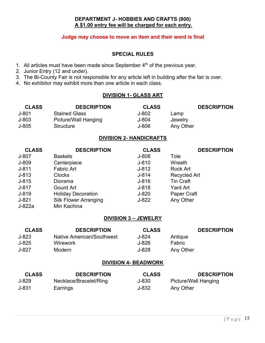# **DEPARTMENT J- HOBBIES AND CRAFTS (800) A \$1.00 entry fee will be charged for each entry.**

# **Judge may choose to move an item and their word is final**

### **SPECIAL RULES**

- 1. All articles must have been made since September  $4<sup>th</sup>$  of the previous year.
- 2. Junior Entry (12 and under).
- 3. The Bi-County Fair is not responsible for any article left in building after the fair is over.
- 4. No exhibitor may exhibit more than one article in each class.

# **DIVISION 1- GLASS ART**

| <b>CLASS</b> | <b>DESCRIPTION</b>   | <b>CLASS</b> |           | <b>DESCRIPTION</b> |
|--------------|----------------------|--------------|-----------|--------------------|
| J-801        | <b>Stained Glass</b> | J-802        | Lamp      |                    |
| J-803        | Picture/Wall Hanging | J-804        | Jewelry   |                    |
| J-805        | Structure            | J-806        | Any Other |                    |

# **DIVISION 2- HANDICRAFTS**

| <b>CLASS</b> | <b>DESCRIPTION</b>           | <b>CLASS</b> | <b>DESCRIPTION</b>  |
|--------------|------------------------------|--------------|---------------------|
| $J-807$      | <b>Baskets</b>               | $J-808$      | Tole                |
| J-809        | Centerpiece                  | $J - 810$    | Wreath              |
| $J-811$      | <b>Fabric Art</b>            | $J - 812$    | Rock Art            |
| $J-813$      | <b>Clocks</b>                | $J - 814$    | <b>Recycled Art</b> |
| $J - 815$    | Diorama                      | $J - 816$    | <b>Tin Craft</b>    |
| $J-817$      | Gourd Art                    | $J-818$      | Yard Art            |
| J-819        | <b>Holiday Decoration</b>    | $J-820$      | Paper Craft         |
| $J-821$      | <b>Silk Flower Arranging</b> | $J-822$      | Any Other           |
| J-822a       | Min Kachina                  |              |                     |

# **DIVISION 3 – JEWELRY**

| <b>CLASS</b> | <b>DESCRIPTION</b>        | <b>CLASS</b> |           | <b>DESCRIPTION</b> |
|--------------|---------------------------|--------------|-----------|--------------------|
| J-823        | Native American/Southwest | J-824        | Antique   |                    |
| J-825        | Wirework                  | J-826        | Fabric.   |                    |
| J-827        | Modern                    | J-828        | Any Other |                    |

# **DIVISION 4- BEADWORK**

| <b>CLASS</b> | <b>DESCRIPTION</b>     | <b>CLASS</b> | <b>DESCRIPTION</b>   |
|--------------|------------------------|--------------|----------------------|
| J-829        | Necklace/Bracelet/Ring | J-830        | Picture/Wall Hanging |
| $J - 831$    | Earrings               | J-832        | Any Other            |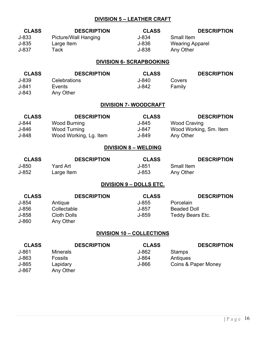# **DIVISION 5 – LEATHER CRAFT**

| <b>CLASS</b><br>J-833<br>$J-835$<br>J-837          | <b>DESCRIPTION</b><br><b>Picture/Wall Hanging</b><br>Large Item<br><b>Tack</b>             | <b>CLASS</b><br>$J-834$<br>J-836<br>J-838   | <b>DESCRIPTION</b><br><b>Small Item</b><br><b>Wearing Apparel</b><br>Any Other   |
|----------------------------------------------------|--------------------------------------------------------------------------------------------|---------------------------------------------|----------------------------------------------------------------------------------|
|                                                    |                                                                                            | <b>DIVISION 6- SCRAPBOOKING</b>             |                                                                                  |
| <b>CLASS</b><br>J-839<br>$J-841$<br>$J - 843$      | <b>DESCRIPTION</b><br>Celebrations<br>Events<br>Any Other                                  | <b>CLASS</b><br>$J - 840$<br>$J-842$        | <b>DESCRIPTION</b><br>Covers<br>Family                                           |
|                                                    |                                                                                            | <b>DIVISION 7- WOODCRAFT</b>                |                                                                                  |
| <b>CLASS</b><br>J-844<br>J-846<br>$J-848$          | <b>DESCRIPTION</b><br><b>Wood Burning</b><br><b>Wood Turning</b><br>Wood Working, Lg. Item | <b>CLASS</b><br>$J-845$<br>J-847<br>J-849   | <b>DESCRIPTION</b><br><b>Wood Craving</b><br>Wood Working, Sm. Item<br>Any Other |
|                                                    |                                                                                            | <b>DIVISION 8 - WELDING</b>                 |                                                                                  |
| <b>CLASS</b><br>J-850<br>$J-852$                   | <b>DESCRIPTION</b><br><b>Yard Art</b><br>Large Item                                        | <b>CLASS</b><br>$J - 851$<br>$J - 853$      | <b>DESCRIPTION</b><br><b>Small Item</b><br>Any Other                             |
|                                                    |                                                                                            | <u>DIVISION 9 - DOLLS ETC.</u>              |                                                                                  |
| <b>CLASS</b><br>J-854<br>J-856<br>J-858<br>J-860   | <b>DESCRIPTION</b><br>Antique<br>Collectable<br><b>Cloth Dolls</b><br>Any Other            | <b>CLASS</b><br>$J-855$<br>$J-857$<br>J-859 | <b>DESCRIPTION</b><br>Porcelain<br><b>Beaded Doll</b><br>Teddy Bears Etc.        |
|                                                    |                                                                                            | <b>DIVISION 10 - COLLECTIONS</b>            |                                                                                  |
| <b>CLASS</b><br>$J-861$<br>J-863<br>J-865<br>J-867 | <b>DESCRIPTION</b><br><b>Minerals</b><br><b>Fossils</b><br>Lapidary<br>Any Other           | <b>CLASS</b><br>J-862<br>J-864<br>J-866     | <b>DESCRIPTION</b><br><b>Stamps</b><br>Antiques<br>Coins & Paper Money           |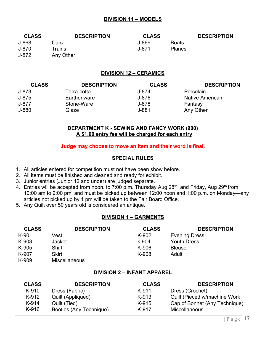# **DIVISION 11 – MODELS**

| <b>CLASS</b> | <b>DESCRIPTION</b> | <b>CLASS</b> |               | <b>DESCRIPTION</b> |
|--------------|--------------------|--------------|---------------|--------------------|
| J-868        | Cars               | J-869        | <b>Boats</b>  |                    |
| J-870        | Trains             | J-871.       | <b>Planes</b> |                    |
| J-872        | Any Other          |              |               |                    |

# **DIVISION 12 – CERAMICS**

| <b>CLASS</b> | <b>DESCRIPTION</b> | <b>CLASS</b> | <b>DESCRIPTION</b> |
|--------------|--------------------|--------------|--------------------|
| $J - 873$    | Terra-cotta        | J-874        | Porcelain          |
| J-875        | Earthenware        | J-876        | Native American    |
| J-877        | Stone-Ware         | J-878        | Fantasy            |
| J-880        | Glaze              | J-881        | Any Other          |

# **DEPARTMENT K - SEWING AND FANCY WORK (900) A \$1.00 entry fee will be charged for each entry**

### **Judge may choose to move an item and their word is final.**

# **SPECIAL RULES**

- 1. All articles entered for competition must not have been show before.
- 2. All items must be finished and cleaned and ready for exhibit.
- 3. Junior entries (Junior 12 and under) are judged separate.
- 4. Entries will be accepted from noon. to 7:00 p.m. Thursday Aug 28<sup>th</sup> and Friday, Aug 29<sup>th</sup> from 10:00 am to 2:00 pm and must be picked up between 12:00 noon and 1:00 p.m. on Monday—any articles not picked up by 1 pm will be taken to the Fair Board Office.
- 5. Any Quilt over 50 years old is considered an antique.

# **DIVISION 1 – GARMENTS**

| <b>CLASS</b> | <b>DESCRIPTION</b>   | <b>CLASS</b> | <b>DESCRIPTION</b>   |
|--------------|----------------------|--------------|----------------------|
| K-901        | Vest                 | K-902        | <b>Evening Dress</b> |
| K-903        | <b>Jacket</b>        | k-904        | <b>Youth Dress</b>   |
| K-905        | <b>Shirt</b>         | K-906        | <b>Blouse</b>        |
| K-907        | <b>Skirt</b>         | K-908        | Adult                |
| K-909        | <b>Miscellaneous</b> |              |                      |

# **DIVISION 2 – INFANT APPAREL**

| <b>CLASS</b> | <b>DESCRIPTION</b>      | <b>CLASS</b> | <b>DESCRIPTION</b>            |
|--------------|-------------------------|--------------|-------------------------------|
| K-910        | Dress (Fabric)          | K-911        | Dress (Crochet)               |
| K-912        | Quilt (Appliqued)       | K-913        | Quilt (Pieced w/machine Work  |
| K-914        | Quilt (Tied)            | K-915        | Cap of Bonnet (Any Technique) |
| $K-916$      | Booties (Any Technique) | K-917        | <b>Miscellaneous</b>          |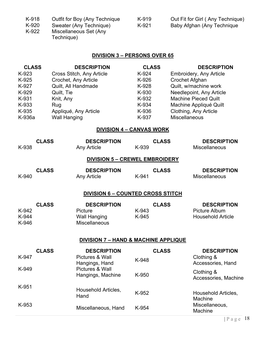| K-918 | Outfit for Boy (Any Technique | K-919 | Out Fit for Girl (Any Technique) |
|-------|-------------------------------|-------|----------------------------------|
| K-920 | Sweater (Any Technique)       | K-921 | Baby Afghan (Any Technique       |
| K-922 | Miscellaneous Set (Any        |       |                                  |

| 19 | Out Fit for Girl (Any Technique) |
|----|----------------------------------|
| 21 | Baby Afghan (Any Technique       |

### K-922 Miscellaneous Set (Any Technique)

# **DIVISION 3 – PERSONS OVER 65**

| <b>CLASS</b> | <b>DESCRIPTION</b>        | <b>CLASS</b> | <b>DESCRIPTION</b>             |
|--------------|---------------------------|--------------|--------------------------------|
| K-923        | Cross Stitch, Any Article | K-924        | <b>Embroidery, Any Article</b> |
| K-925        | Crochet, Any Article      | K-926        | Crochet Afghan                 |
| K-927        | Quilt, All Handmade       | K-928        | Quilt, w/machine work          |
| K-929        | Quilt, Tie                | K-930        | Needlepoint, Any Article       |
| K-931        | Knit, Any                 | K-932        | <b>Machine Pieced Quilt</b>    |
| K-933        | Rug                       | K-934        | Machine Appliqué Quilt         |
| K-935        | Appliqué, Any Article     | K-936        | Clothing, Any Article          |
| K-936a       | <b>Wall Hanging</b>       | K-937        | Miscellaneous                  |

# **DIVISION 4 – CANVAS WORK**

| K-938                   | <b>CLASS</b> | <b>DESCRIPTION</b><br>Any Article                                            | K-939          | <b>CLASS</b> | <b>DESCRIPTION</b><br>Miscellaneous                                    |
|-------------------------|--------------|------------------------------------------------------------------------------|----------------|--------------|------------------------------------------------------------------------|
|                         |              | <b>DIVISION 5 - CREWEL EMBROIDERY</b>                                        |                |              |                                                                        |
| K-940                   | <b>CLASS</b> | <b>DESCRIPTION</b><br><b>Any Article</b>                                     | K-941          | <b>CLASS</b> | <b>DESCRIPTION</b><br><b>Miscellaneous</b>                             |
|                         |              | <b>DIVISION 6 - COUNTED CROSS STITCH</b>                                     |                |              |                                                                        |
| K-942<br>K-944<br>K-946 | <b>CLASS</b> | <b>DESCRIPTION</b><br>Picture<br><b>Wall Hanging</b><br><b>Miscellaneous</b> | K-943<br>K-945 | <b>CLASS</b> | <b>DESCRIPTION</b><br><b>Picture Album</b><br><b>Household Article</b> |
|                         |              | <b>DIVISION 7 - HAND &amp; MACHINE APPLIQUE</b>                              |                |              |                                                                        |
| K-947                   | <b>CLASS</b> | <b>DESCRIPTION</b><br>Pictures & Wall<br>Hangings, Hand                      | K-948          | <b>CLASS</b> | <b>DESCRIPTION</b><br>Clothing &<br>Accessories, Hand                  |
| K-949                   |              | Pictures & Wall<br>Hangings, Machine                                         | K-950          |              | Clothing &<br>Accessories, Machine                                     |
| K-951                   |              | Household Articles,<br>Hand                                                  | K-952          |              | Household Articles,<br>Machine                                         |
| K-953                   |              | Miscellaneous, Hand                                                          | K-954          |              | Miscellaneous,<br>Machine                                              |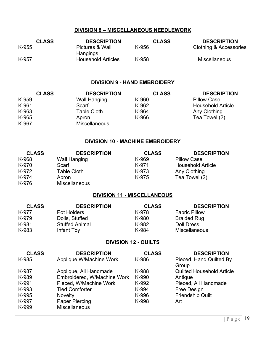# **DIVISION 8 – MISCELLANEOUS NEEDLEWORK**

| <b>CLASS</b> | <b>DESCRIPTION</b>          | <b>CLASS</b> | <b>DESCRIPTION</b>     |
|--------------|-----------------------------|--------------|------------------------|
| K-955        | Pictures & Wall<br>Hangings | K-956        | Clothing & Accessories |
| K-957        | <b>Household Articles</b>   | K-958        | <b>Miscellaneous</b>   |

# **DIVISION 9 - HAND EMBROIDERY**

| <b>CLASS</b> | <b>DESCRIPTION</b>   | <b>CLASS</b> | <b>DESCRIPTION</b>       |
|--------------|----------------------|--------------|--------------------------|
| K-959        | <b>Wall Hanging</b>  | K-960        | <b>Pillow Case</b>       |
| K-961        | Scarf                | K-962        | <b>Household Article</b> |
| K-963        | <b>Table Cloth</b>   | K-964        | Any Clothing             |
| K-965        | Apron                | K-966        | Tea Towel (2)            |
| K-967        | <b>Miscellaneous</b> |              |                          |

# **DIVISION 10 - MACHINE EMBROIDERY**

| <b>CLASS</b> | <b>DESCRIPTION</b>   | <b>CLASS</b> | <b>DESCRIPTION</b>       |
|--------------|----------------------|--------------|--------------------------|
| K-968        | Wall Hanging         | K-969        | <b>Pillow Case</b>       |
| K-970        | Scarf                | K-971        | <b>Household Article</b> |
| K-972        | <b>Table Cloth</b>   | K-973        | Any Clothing             |
| K-974        | Apron                | K-975        | Tea Towel (2)            |
| K-976        | <b>Miscellaneous</b> |              |                          |

# **DIVISION 11 - MISCELLANEOUS**

| <b>CLASS</b> | <b>DESCRIPTION</b>    | <b>CLASS</b> | <b>DESCRIPTION</b>   |
|--------------|-----------------------|--------------|----------------------|
| K-977        | Pot Holders           | K-978        | <b>Fabric Pillow</b> |
| K-979        | Dolls, Stuffed        | K-980        | <b>Braided Rug</b>   |
| K-981        | <b>Stuffed Animal</b> | K-982        | <b>Doll Dress</b>    |
| K-983        | Infant Toy            | K-984        | <b>Miscellaneous</b> |

# **DIVISION 12 - QUILTS**

| <b>CLASS</b> | <b>DESCRIPTION</b>          | <b>CLASS</b> | <b>DESCRIPTION</b>               |
|--------------|-----------------------------|--------------|----------------------------------|
| K-985        | Applique W/Machine Work     | K-986        | Pieced, Hand Quilted By          |
|              |                             |              | Group                            |
| K-987        | Applique, All Handmade      | K-988        | <b>Quilted Household Article</b> |
| K-989        | Embroidered, W/Machine Work | K-990        | Antique                          |
| K-991        | Pieced, W/Machine Work      | K-992        | Pieced, All Handmade             |
| K-993        | <b>Tied Comforter</b>       | K-994        | Free Design                      |
| K-995        | <b>Novelty</b>              | K-996        | <b>Friendship Quilt</b>          |
| K-997        | Paper Piercing              | K-998        | Art                              |
| K-999        | <b>Miscellaneous</b>        |              |                                  |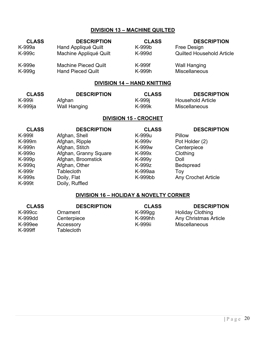# **DIVISION 13 – MACHINE QUILTED**

| <b>CLASS</b>       | <b>DESCRIPTION</b>          | <b>CLASS</b> | <b>DESCRIPTION</b>               |
|--------------------|-----------------------------|--------------|----------------------------------|
| K-999a             | Hand Appliqué Quilt         | K-999b       | Free Design                      |
| K-999 <sub>c</sub> | Machine Appliqué Quilt      | K-999d       | <b>Quilted Household Article</b> |
| K-999e             | <b>Machine Pieced Quilt</b> | K-999f       | <b>Wall Hanging</b>              |
| K-999g             | <b>Hand Pieced Quilt</b>    | K-999h       | <b>Miscellaneous</b>             |

# **DIVISION 14 – HAND KNITTING**

| <b>CLASS</b> | <b>DESCRIPTION</b> | <b>CLASS</b> | <b>DESCRIPTION</b>   |
|--------------|--------------------|--------------|----------------------|
| K-999i       | Afghan             | K-999j       | Household Article    |
| K-999ja      | Wall Hanging       | K-999k       | <b>Miscellaneous</b> |

# **DIVISION 15 - CROCHET**

| <b>CLASS</b> | <b>DESCRIPTION</b>    | <b>CLASS</b>       | <b>DESCRIPTION</b>         |
|--------------|-----------------------|--------------------|----------------------------|
| K-9991       | Afghan, Shell         | K-999u             | Pillow                     |
| K-999m       | Afghan, Ripple        | K-999 <sub>v</sub> | Pot Holder (2)             |
| K-999n       | Afghan, Stitch        | K-999w             | Centerpiece                |
| K-999o       | Afghan, Granny Square | K-999x             | Clothing                   |
| K-999p       | Afghan, Broomstick    | K-999y             | Doll                       |
| K-999q       | Afghan, Other         | K-999z             | <b>Bedspread</b>           |
| K-999r       | <b>Tablecloth</b>     | K-999aa            | Toy                        |
| K-999s       | Doily, Flat           | K-999bb            | <b>Any Crochet Article</b> |
| K-999t       | Doily, Ruffled        |                    |                            |

# **DIVISION 16 – HOLIDAY & NOVELTY CORNER**

| <b>CLASS</b> | <b>DESCRIPTION</b> | <b>CLASS</b> | <b>DESCRIPTION</b>           |
|--------------|--------------------|--------------|------------------------------|
| K-999cc      | Ornament           | K-999gg      | <b>Holiday Clothing</b>      |
| K-999dd      | Centerpiece        | K-999hh      | <b>Any Christmas Article</b> |
| K-999ee      | Accessory          | K-999ii      | <b>Miscellaneous</b>         |
| K-999ff      | Tablecloth         |              |                              |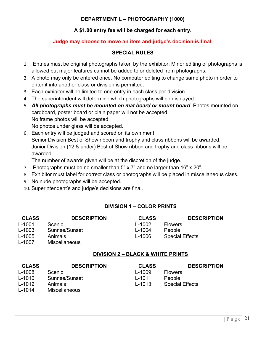# **DEPARTMENT L – PHOTOGRAPHY (1000)**

# **A \$1.00 entry fee will be charged for each entry.**

# **Judge may choose to move an item and judge's decision is final.**

# **SPECIAL RULES**

- 1. Entries must be original photographs taken by the exhibitor. Minor editing of photographs is allowed but major features cannot be added to or deleted from photographs.
- 2. A photo may only be entered once. No computer editing to change same photo in order to enter it into another class or division is permitted.
- 3. Each exhibitor will be limited to one entry in each class per division.
- 4. The superintendent will determine which photographs will be displayed.
- 5. *All photographs must be mounted on mat board or mount board*. Photos mounted on cardboard, poster board or plain paper will not be accepted. No frame photos will be accepted.

No photos under glass will be accepted.

6. Each entry will be judged and scored on its own merit. Senior Division Best of Show ribbon and trophy and class ribbons will be awarded. Junior Division (12 & under) Best of Show ribbon and trophy and class ribbons will be awarded.

The number of awards given will be at the discretion of the judge.

- 7. Photographs must be no smaller than 5" x 7" and no larger than 16" x 20".
- 8. Exhibitor must label for correct class or photographs will be placed in miscellaneous class.
- 9. No nude photographs will be accepted.
- 10. Superintendent's and judge's decisions are final.

# **DIVISION 1 – COLOR PRINTS**

| <b>DESCRIPTION</b><br><b>CLASS</b><br><b>CLASS</b>    | <b>DESCRIPTION</b> |
|-------------------------------------------------------|--------------------|
| L-1001<br>L-1002<br><b>Scenic</b><br><b>Flowers</b>   |                    |
| Sunrise/Sunset<br>L-1003<br>$L-1004$<br>People        |                    |
| <b>Special Effects</b><br>L-1005<br>Animals<br>L-1006 |                    |
| L-1007<br><b>Miscellaneous</b>                        |                    |

# **DIVISION 2 – BLACK & WHITE PRINTS**

| <b>CLASS</b> | <b>DESCRIPTION</b>   | <b>CLASS</b> | <b>DESCRIPTION</b>     |
|--------------|----------------------|--------------|------------------------|
| L-1008       | <b>Scenic</b>        | L-1009       | <b>Flowers</b>         |
| L-1010       | Sunrise/Sunset       | L-1011       | People                 |
| L-1012       | <b>Animals</b>       | L-1013       | <b>Special Effects</b> |
| L-1014       | <b>Miscellaneous</b> |              |                        |